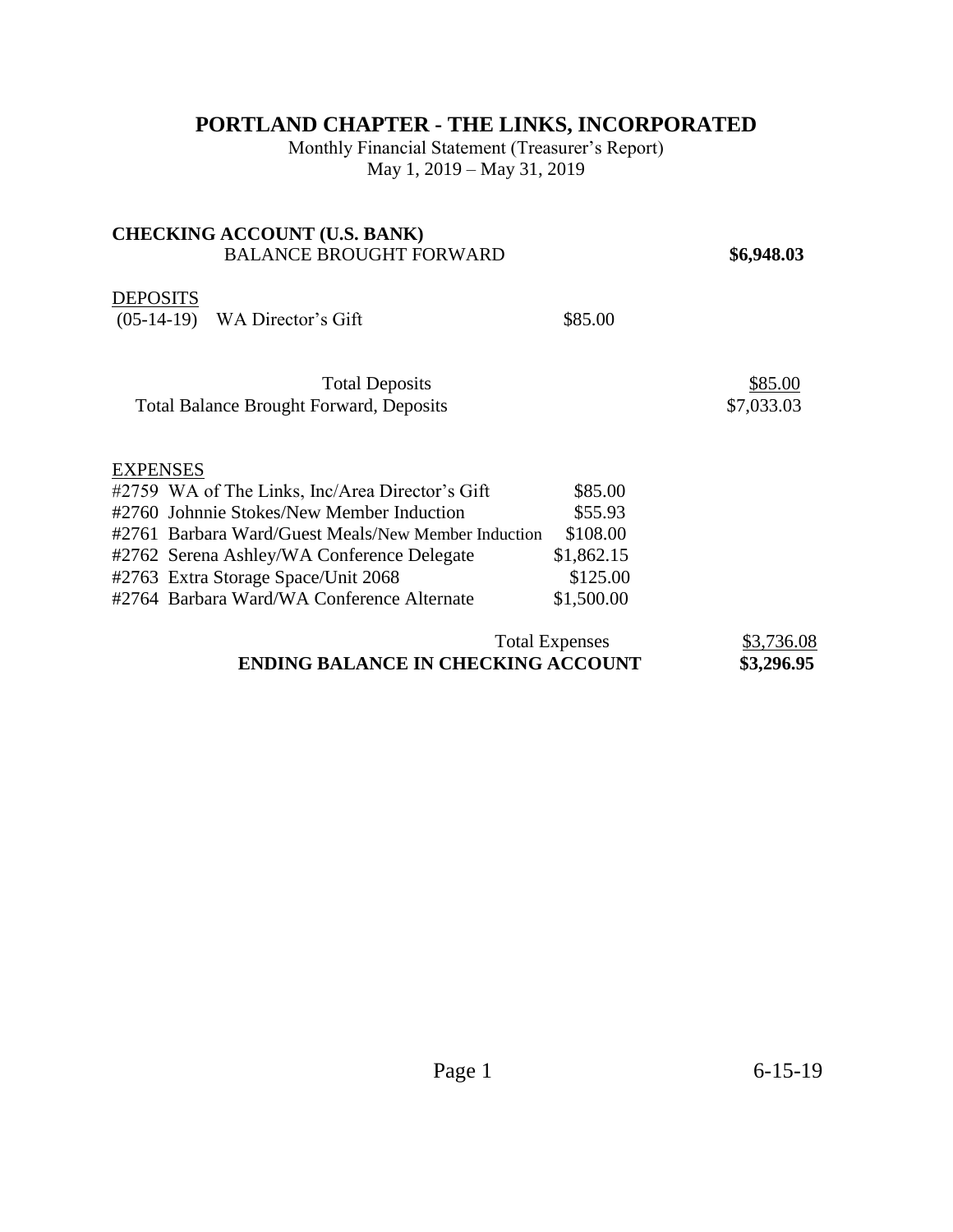## **PORTLAND CHAPTER - THE LINKS, INCORPORATED**

Monthly Financial Statement (Treasurer's Report) May 1, 2019 – May 31, 2019

## **CHECKING ACCOUNT (U.S. BANK)**  BALANCE BROUGHT FORWARD **\$6,948.03 DEPOSITS** (05-14-19) WA Director's Gift \$85.00 Total Deposits  $$85.00$ Total Balance Brought Forward, Deposits  $$7,033.03$ **EXPENSES** #2759 WA of The Links, Inc/Area Director's Gift \$85.00 #2760 Johnnie Stokes/New Member Induction \$55.93 #2761 Barbara Ward/Guest Meals/New Member Induction \$108.00 #2762 Serena Ashley/WA Conference Delegate \$1,862.15 #2763 Extra Storage Space/Unit 2068 \$125.00 #2764 Barbara Ward/WA Conference Alternate \$1,500.00 Total Expenses \$3,736.08 **ENDING BALANCE IN CHECKING ACCOUNT \$3,296.95**